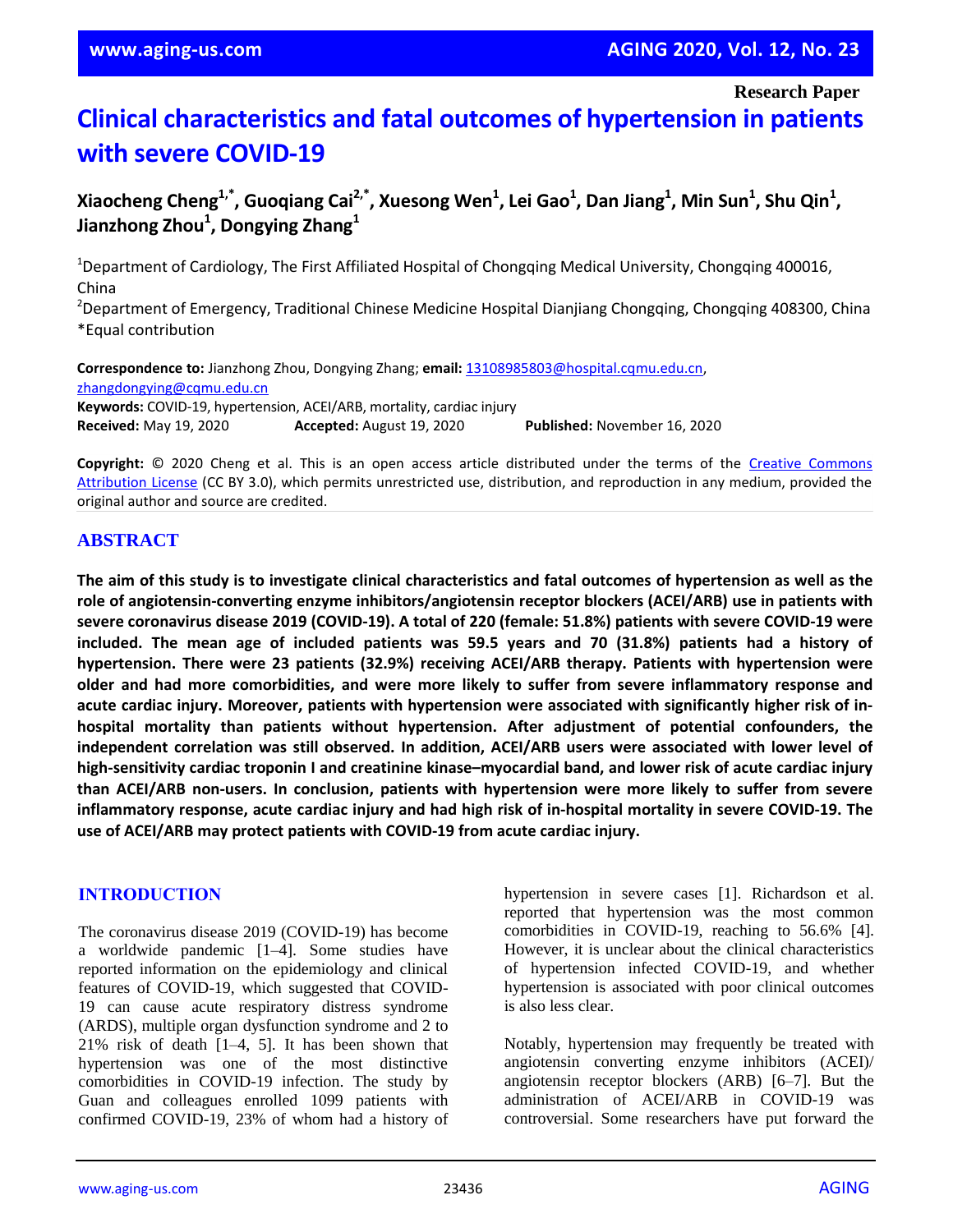**Research Paper**

# **Clinical characteristics and fatal outcomes of hypertension in patients with severe COVID-19**

**Xiaocheng Cheng1,\* , Guoqiang Cai2,\* , Xuesong Wen<sup>1</sup> , Lei Gao<sup>1</sup> , Dan Jiang<sup>1</sup> , Min Sun<sup>1</sup> , Shu Qin<sup>1</sup> , Jianzhong Zhou<sup>1</sup> , Dongying Zhang<sup>1</sup>**

<sup>1</sup>Department of Cardiology, The First Affiliated Hospital of Chongqing Medical University, Chongqing 400016, China

<sup>2</sup>Department of Emergency, Traditional Chinese Medicine Hospital Dianjiang Chongqing, Chongqing 408300, China \*Equal contribution

**Correspondence to:** Jianzhong Zhou, Dongying Zhang; **email:** 13108985803@hospital.cqmu.edu.cn, zhangdongying@cqmu.edu.cn **Keywords:** COVID-19, hypertension, ACEI/ARB, mortality, cardiac injury **Received:** May 19, 2020 **Accepted:** August 19, 2020 **Published:** November 16, 2020

**Copyright:** © 2020 Cheng et al. This is an open access article distributed under the terms of the Creative Commons Attribution License (CC BY 3.0), which permits unrestricted use, distribution, and reproduction in any medium, provided the original author and source are credited.

#### **ABSTRACT**

The aim of this study is to investigate clinical characteristics and fatal outcomes of hypertension as well as the **role of angiotensin-converting enzyme inhibitors/angiotensin receptor blockers (ACEI/ARB) use in patients with severe coronavirus disease 2019 (COVID-19). A total of 220 (female: 51.8%) patients with severe COVID-19 were** included. The mean age of included patients was 59.5 years and 70 (31.8%) patients had a history of **hypertension. There were 23 patients (32.9%) receiving ACEI/ARB therapy. Patients with hypertension were older and had more comorbidities, and were more likely to suffer from severe inflammatory response and acute cardiac injury. Moreover, patients with hypertension were associated with significantly higher risk of inhospital mortality than patients without hypertension. After adjustment of potential confounders, the independent correlation was still observed. In addition, ACEI/ARB users were associated with lower level of** high-sensitivity cardiac troponin I and creatinine kinase-myocardial band, and lower risk of acute cardiac injury **than ACEI/ARB non-users. In conclusion, patients with hypertension were more likely to suffer from severe inflammatory response, acute cardiac injury and had high risk of in-hospital mortality in severe COVID-19. The use of ACEI/ARB may protect patients with COVID-19 from acute cardiac injury.**

#### **INTRODUCTION**

The coronavirus disease 2019 (COVID-19) has become a worldwide pandemic [1–4]. Some studies have reported information on the epidemiology and clinical features of COVID-19, which suggested that COVID-19 can cause acute respiratory distress syndrome (ARDS), multiple organ dysfunction syndrome and 2 to 21% risk of death [1–4, 5]. It has been shown that hypertension was one of the most distinctive comorbidities in COVID-19 infection. The study by Guan and colleagues enrolled 1099 patients with confirmed COVID-19, 23% of whom had a history of hypertension in severe cases [1]. Richardson et al. reported that hypertension was the most common comorbidities in COVID-19, reaching to 56.6% [4]. However, it is unclear about the clinical characteristics of hypertension infected COVID-19, and whether hypertension is associated with poor clinical outcomes is also less clear.

Notably, hypertension may frequently be treated with angiotensin converting enzyme inhibitors (ACEI)/ angiotensin receptor blockers (ARB) [6–7]. But the administration of ACEI/ARB in COVID-19 was controversial. Some researchers have put forward the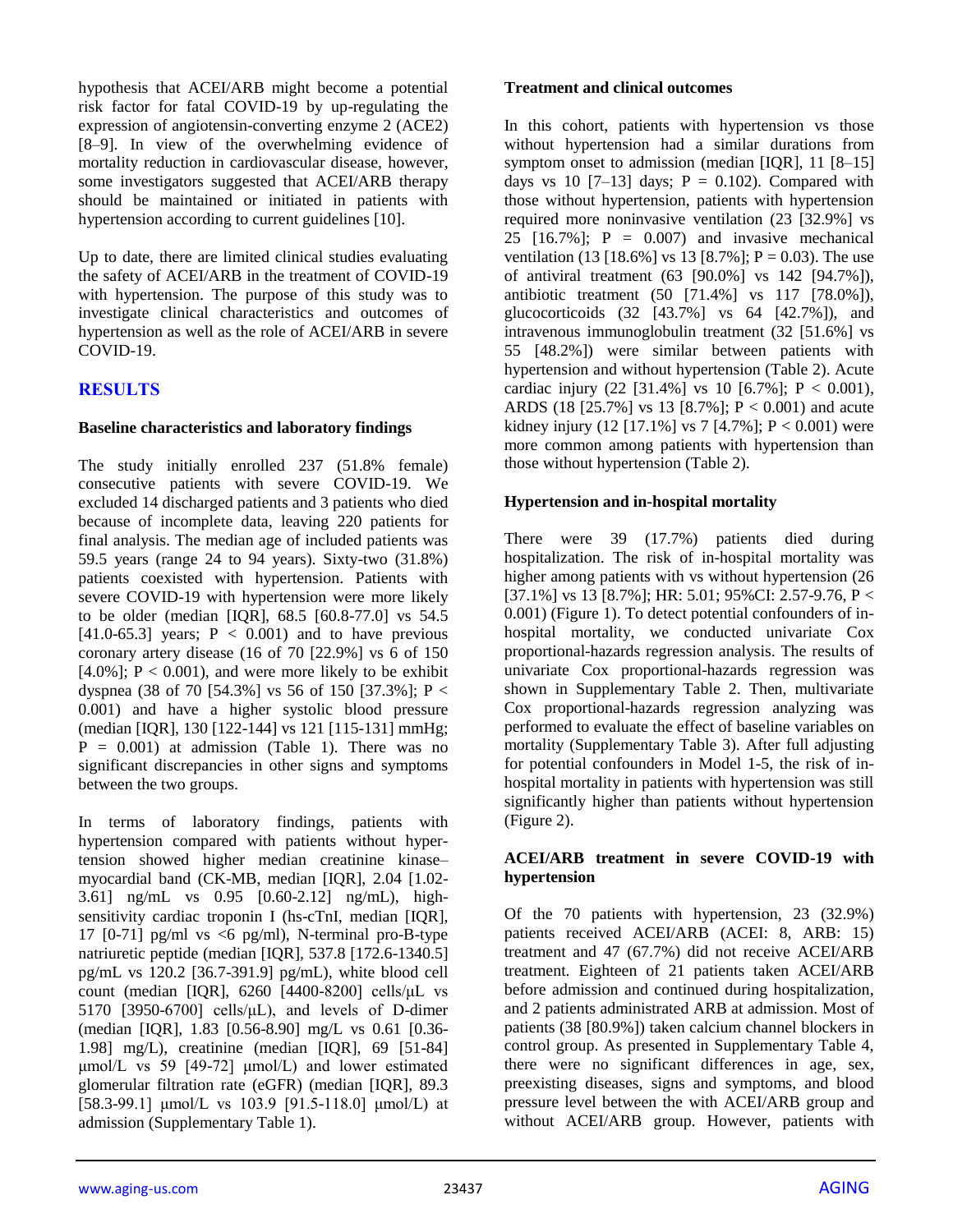hypothesis that ACEI/ARB might become a potential risk factor for fatal COVID-19 by up-regulating the expression of angiotensin-converting enzyme 2 (ACE2) [8–9]. In view of the overwhelming evidence of mortality reduction in cardiovascular disease, however, some investigators suggested that ACEI/ARB therapy should be maintained or initiated in patients with hypertension according to current guidelines [10].

Up to date, there are limited clinical studies evaluating the safety of ACEI/ARB in the treatment of COVID-19 with hypertension. The purpose of this study was to investigate clinical characteristics and outcomes of hypertension as well as the role of ACEI/ARB in severe COVID-19.

## **RESULTS**

#### **Baseline characteristics and laboratory findings**

The study initially enrolled 237 (51.8% female) consecutive patients with severe COVID-19. We excluded 14 discharged patients and 3 patients who died because of incomplete data, leaving 220 patients for final analysis. The median age of included patients was 59.5 years (range 24 to 94 years). Sixty-two (31.8%) patients coexisted with hypertension. Patients with severe COVID-19 with hypertension were more likely to be older (median [IQR], 68.5 [60.8-77.0] vs 54.5 [41.0-65.3] years;  $P < 0.001$ ) and to have previous coronary artery disease (16 of 70 [22.9%] vs 6 of 150 [4.0%];  $P < 0.001$ ), and were more likely to be exhibit dyspnea (38 of 70 [54.3%] vs 56 of 150 [37.3%]; P < 0.001) and have a higher systolic blood pressure (median [IQR], 130 [122-144] vs 121 [115-131] mmHg;  $P = 0.001$ ) at admission (Table 1). There was no significant discrepancies in other signs and symptoms between the two groups.

In terms of laboratory findings, patients with hypertension compared with patients without hypertension showed higher median creatinine kinase– myocardial band (CK-MB, median [IQR], 2.04 [1.02- 3.61] ng/mL vs 0.95 [0.60-2.12] ng/mL), highsensitivity cardiac troponin I (hs-cTnI, median [IQR], 17  $[0-71]$  pg/ml vs <6 pg/ml), N-terminal pro-B-type natriuretic peptide (median [IQR], 537.8 [172.6-1340.5] pg/mL vs 120.2 [36.7-391.9] pg/mL), white blood cell count (median [IQR], 6260 [4400-8200] cells/μL vs 5170 [3950-6700] cells/μL), and levels of D-dimer (median [IQR], 1.83 [0.56-8.90] mg/L vs 0.61 [0.36- 1.98] mg/L), creatinine (median [IQR], 69 [51-84] μmol/L vs 59 [49-72] μmol/L) and lower estimated glomerular filtration rate (eGFR) (median [IQR], 89.3 [58.3-99.1] μmol/L vs 103.9 [91.5-118.0] μmol/L) at admission (Supplementary Table 1).

#### **Treatment and clinical outcomes**

In this cohort, patients with hypertension vs those without hypertension had a similar durations from symptom onset to admission (median [IQR], 11 [8–15] days vs 10 [7-13] days;  $P = 0.102$ ). Compared with those without hypertension, patients with hypertension required more noninvasive ventilation (23 [32.9%] vs 25  $[16.7\%]$ ; P = 0.007) and invasive mechanical ventilation (13 [18.6%] vs 13 [8.7%];  $P = 0.03$ ). The use of antiviral treatment (63 [90.0%] vs 142 [94.7%]), antibiotic treatment (50 [71.4%] vs 117 [78.0%]), glucocorticoids (32 [43.7%] vs 64 [42.7%]), and intravenous immunoglobulin treatment (32 [51.6%] vs 55 [48.2%]) were similar between patients with hypertension and without hypertension (Table 2). Acute cardiac injury  $(22 \, [31.4\%] \text{ vs } 10 \, [6.7\%]; \, P < 0.001)$ , ARDS (18 [25.7%] vs 13 [8.7%]; P < 0.001) and acute kidney injury (12 [17.1%] vs 7 [4.7%];  $P < 0.001$ ) were more common among patients with hypertension than those without hypertension (Table 2).

## **Hypertension and in-hospital mortality**

There were 39 (17.7%) patients died during hospitalization. The risk of in-hospital mortality was higher among patients with vs without hypertension (26 [37.1%] vs 13 [8.7%]; HR: 5.01; 95%CI: 2.57-9.76, P < 0.001) (Figure 1). To detect potential confounders of inhospital mortality, we conducted univariate Cox proportional-hazards regression analysis. The results of univariate Cox proportional-hazards regression was shown in Supplementary Table 2. Then, multivariate Cox proportional-hazards regression analyzing was performed to evaluate the effect of baseline variables on mortality (Supplementary Table 3). After full adjusting for potential confounders in Model 1-5, the risk of inhospital mortality in patients with hypertension was still significantly higher than patients without hypertension (Figure 2).

#### **ACEI/ARB treatment in severe COVID-19 with hypertension**

Of the 70 patients with hypertension, 23 (32.9%) patients received ACEI/ARB (ACEI: 8, ARB: 15) treatment and 47 (67.7%) did not receive ACEI/ARB treatment. Eighteen of 21 patients taken ACEI/ARB before admission and continued during hospitalization, and 2 patients administrated ARB at admission. Most of patients (38 [80.9%]) taken calcium channel blockers in control group. As presented in Supplementary Table 4, there were no significant differences in age, sex, preexisting diseases, signs and symptoms, and blood pressure level between the with ACEI/ARB group and without ACEI/ARB group. However, patients with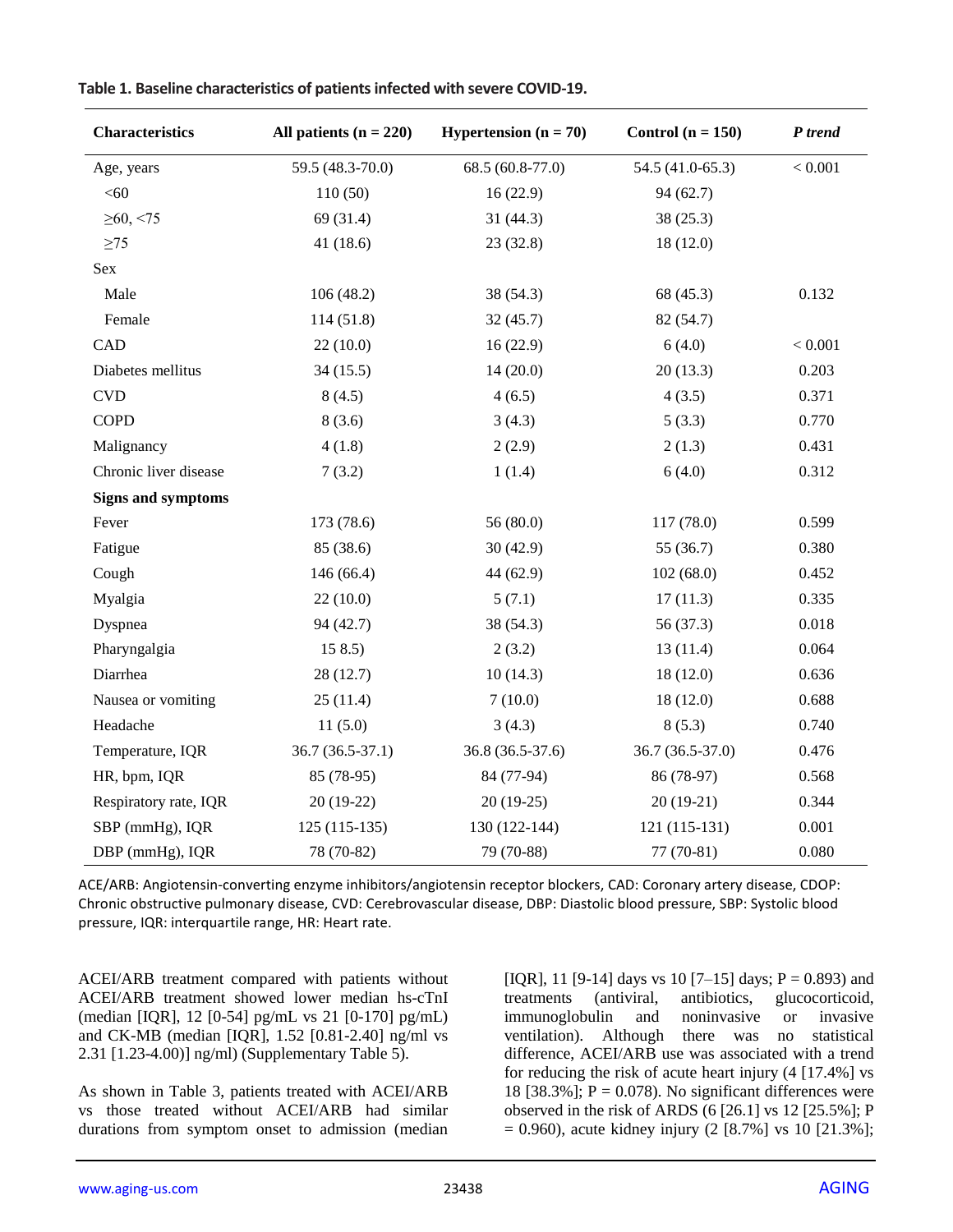| <b>Characteristics</b>      | All patients $(n = 220)$ | <b>Hypertension</b> $(n = 70)$ | Control $(n = 150)$ | P trend |
|-----------------------------|--------------------------|--------------------------------|---------------------|---------|
| Age, years                  | 59.5 (48.3-70.0)         | 68.5 (60.8-77.0)               | 54.5 (41.0-65.3)    | < 0.001 |
| < 60                        | 110(50)                  | 16(22.9)                       | 94(62.7)            |         |
| $\geq 60, \leq 75$          | 69 (31.4)                | 31(44.3)                       | 38(25.3)            |         |
| $\geq$ 75                   | 41 (18.6)                | 23(32.8)                       | 18(12.0)            |         |
| Sex                         |                          |                                |                     |         |
| Male                        | 106(48.2)                | 38 (54.3)                      | 68 (45.3)           | 0.132   |
| Female                      | 114(51.8)                | 32(45.7)                       | 82 (54.7)           |         |
| CAD                         | 22(10.0)                 | 16(22.9)                       | 6(4.0)              | < 0.001 |
| Diabetes mellitus           | 34(15.5)                 | 14(20.0)                       | 20(13.3)            | 0.203   |
| $\ensuremath{\mathrm{CVD}}$ | 8(4.5)                   | 4(6.5)                         | 4(3.5)              | 0.371   |
| <b>COPD</b>                 | 8(3.6)                   | 3(4.3)                         | 5(3.3)              | 0.770   |
| Malignancy                  | 4(1.8)                   | 2(2.9)                         | 2(1.3)              | 0.431   |
| Chronic liver disease       | 7(3.2)                   | 1(1.4)                         | 6(4.0)              | 0.312   |
| <b>Signs and symptoms</b>   |                          |                                |                     |         |
| Fever                       | 173 (78.6)               | 56(80.0)                       | 117 (78.0)          | 0.599   |
| Fatigue                     | 85 (38.6)                | 30(42.9)                       | 55 (36.7)           | 0.380   |
| Cough                       | 146 (66.4)               | 44 (62.9)                      | 102(68.0)           | 0.452   |
| Myalgia                     | 22(10.0)                 | 5(7.1)                         | 17(11.3)            | 0.335   |
| Dyspnea                     | 94 (42.7)                | 38 (54.3)                      | 56 (37.3)           | 0.018   |
| Pharyngalgia                | 158.5                    | 2(3.2)                         | 13(11.4)            | 0.064   |
| Diarrhea                    | 28 (12.7)                | 10(14.3)                       | 18(12.0)            | 0.636   |
| Nausea or vomiting          | 25(11.4)                 | 7(10.0)                        | 18(12.0)            | 0.688   |
| Headache                    | 11(5.0)                  | 3(4.3)                         | 8(5.3)              | 0.740   |
| Temperature, IQR            | $36.7(36.5-37.1)$        | 36.8 (36.5-37.6)               | 36.7 (36.5-37.0)    | 0.476   |
| HR, bpm, IQR                | 85 (78-95)               | 84 (77-94)                     | 86 (78-97)          | 0.568   |
| Respiratory rate, IQR       | $20(19-22)$              | $20(19-25)$                    | $20(19-21)$         | 0.344   |
| SBP (mmHg), IQR             | $125(115-135)$           | 130 (122-144)                  | $121(115-131)$      | 0.001   |
| DBP (mmHg), IQR             | 78 (70-82)               | 79 (70-88)                     | $77(70-81)$         | 0.080   |

|  | Table 1. Baseline characteristics of patients infected with severe COVID-19. |
|--|------------------------------------------------------------------------------|
|--|------------------------------------------------------------------------------|

ACE/ARB: Angiotensin-converting enzyme inhibitors/angiotensin receptor blockers, CAD: Coronary artery disease, CDOP: Chronic obstructive pulmonary disease, CVD: Cerebrovascular disease, DBP: Diastolic blood pressure, SBP: Systolic blood pressure, IQR: interquartile range, HR: Heart rate.

ACEI/ARB treatment compared with patients without ACEI/ARB treatment showed lower median hs-cTnI (median [IQR], 12 [0-54] pg/mL vs 21 [0-170] pg/mL) and CK-MB (median [IQR], 1.52 [0.81-2.40] ng/ml vs 2.31 [1.23-4.00)] ng/ml) (Supplementary Table 5).

As shown in Table 3, patients treated with ACEI/ARB vs those treated without ACEI/ARB had similar durations from symptom onset to admission (median [IQR], 11 [9-14] days vs 10 [7-15] days;  $P = 0.893$ ) and treatments (antiviral, antibiotics, glucocorticoid, immunoglobulin and noninvasive or invasive ventilation). Although there was no statistical difference, ACEI/ARB use was associated with a trend for reducing the risk of acute heart injury (4 [17.4%] vs 18 [38.3%];  $P = 0.078$ ). No significant differences were observed in the risk of ARDS (6 [26.1] vs 12 [25.5%]; P  $= 0.960$ ), acute kidney injury (2 [8.7%] vs 10 [21.3%];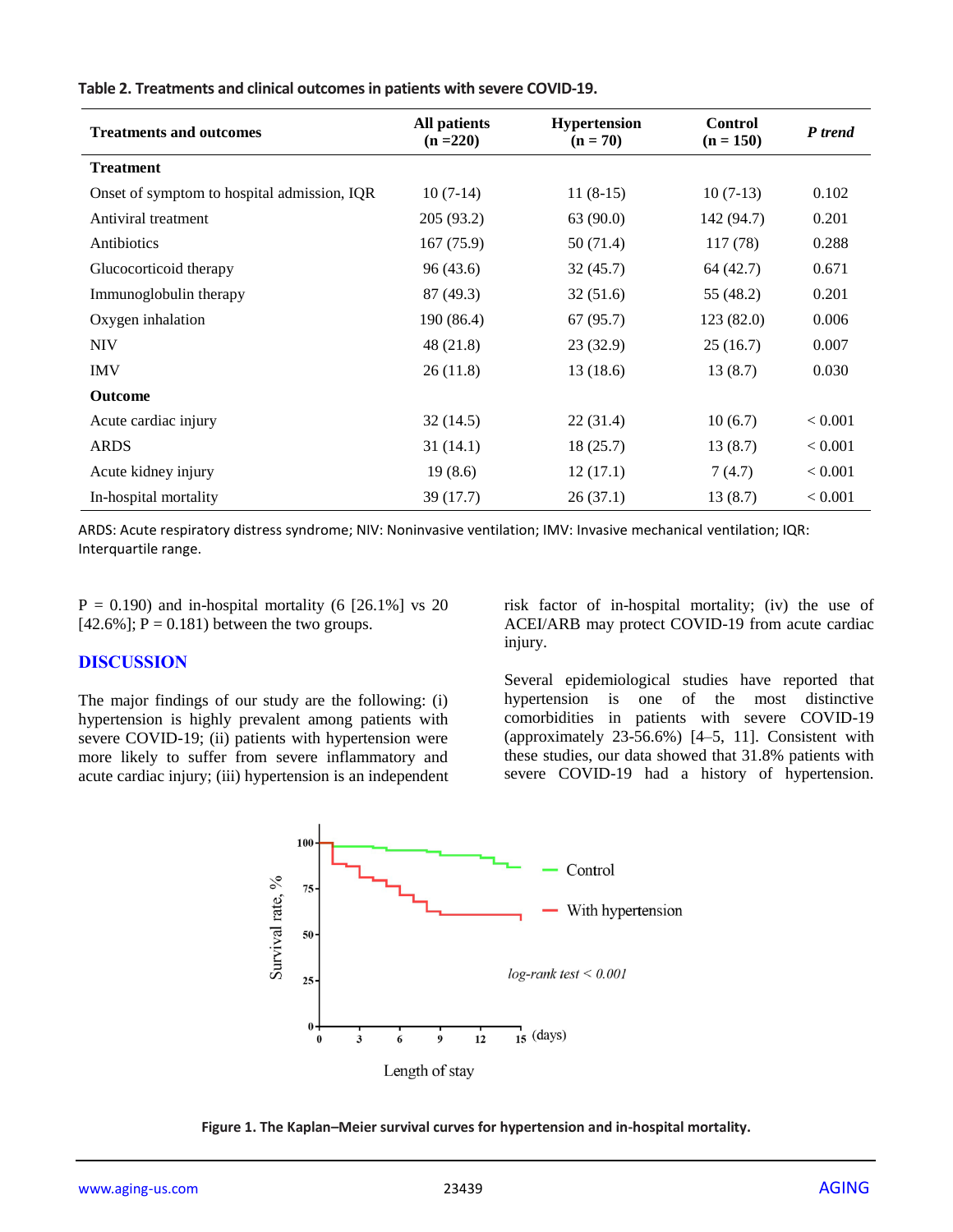| <b>Treatments and outcomes</b>              | <b>All patients</b><br>$(n = 220)$ | <b>Hypertension</b><br>$(n = 70)$ | <b>Control</b><br>$(n = 150)$ | P trend |
|---------------------------------------------|------------------------------------|-----------------------------------|-------------------------------|---------|
| <b>Treatment</b>                            |                                    |                                   |                               |         |
| Onset of symptom to hospital admission, IQR | $10(7-14)$                         | $11(8-15)$                        | $10(7-13)$                    | 0.102   |
| Antiviral treatment                         | 205 (93.2)                         | 63 (90.0)                         | 142 (94.7)                    | 0.201   |
| Antibiotics                                 | 167(75.9)                          | 50 (71.4)                         | 117(78)                       | 0.288   |
| Glucocorticoid therapy                      | 96 (43.6)                          | 32(45.7)                          | 64 (42.7)                     | 0.671   |
| Immunoglobulin therapy                      | 87(49.3)                           | 32(51.6)                          | 55 (48.2)                     | 0.201   |
| Oxygen inhalation                           | 190 (86.4)                         | 67 (95.7)                         | 123(82.0)                     | 0.006   |
| <b>NIV</b>                                  | 48 (21.8)                          | 23 (32.9)                         | 25(16.7)                      | 0.007   |
| <b>IMV</b>                                  | 26(11.8)                           | 13(18.6)                          | 13(8.7)                       | 0.030   |
| <b>Outcome</b>                              |                                    |                                   |                               |         |
| Acute cardiac injury                        | 32(14.5)                           | 22 (31.4)                         | 10(6.7)                       | < 0.001 |
| <b>ARDS</b>                                 | 31(14.1)                           | 18(25.7)                          | 13(8.7)                       | < 0.001 |
| Acute kidney injury                         | 19(8.6)                            | 12(17.1)                          | 7(4.7)                        | < 0.001 |
| In-hospital mortality                       | 39(17.7)                           | 26(37.1)                          | 13(8.7)                       | < 0.001 |

**Table 2. Treatments and clinical outcomes in patients with severe COVID-19.**

ARDS: Acute respiratory distress syndrome; NIV: Noninvasive ventilation; IMV: Invasive mechanical ventilation; IQR: Interquartile range.

 $P = 0.190$ ) and in-hospital mortality (6 [26.1%] vs 20  $[42.6\%]$ ; P = 0.181) between the two groups.

#### **DISCUSSION**

The major findings of our study are the following: (i) hypertension is highly prevalent among patients with severe COVID-19; (ii) patients with hypertension were more likely to suffer from severe inflammatory and acute cardiac injury; (iii) hypertension is an independent risk factor of in-hospital mortality; (iv) the use of ACEI/ARB may protect COVID-19 from acute cardiac injury.

Several epidemiological studies have reported that hypertension is one of the most distinctive comorbidities in patients with severe COVID-19 (approximately 23-56.6%) [4–5, 11]. Consistent with these studies, our data showed that 31.8% patients with severe COVID-19 had a history of hypertension.



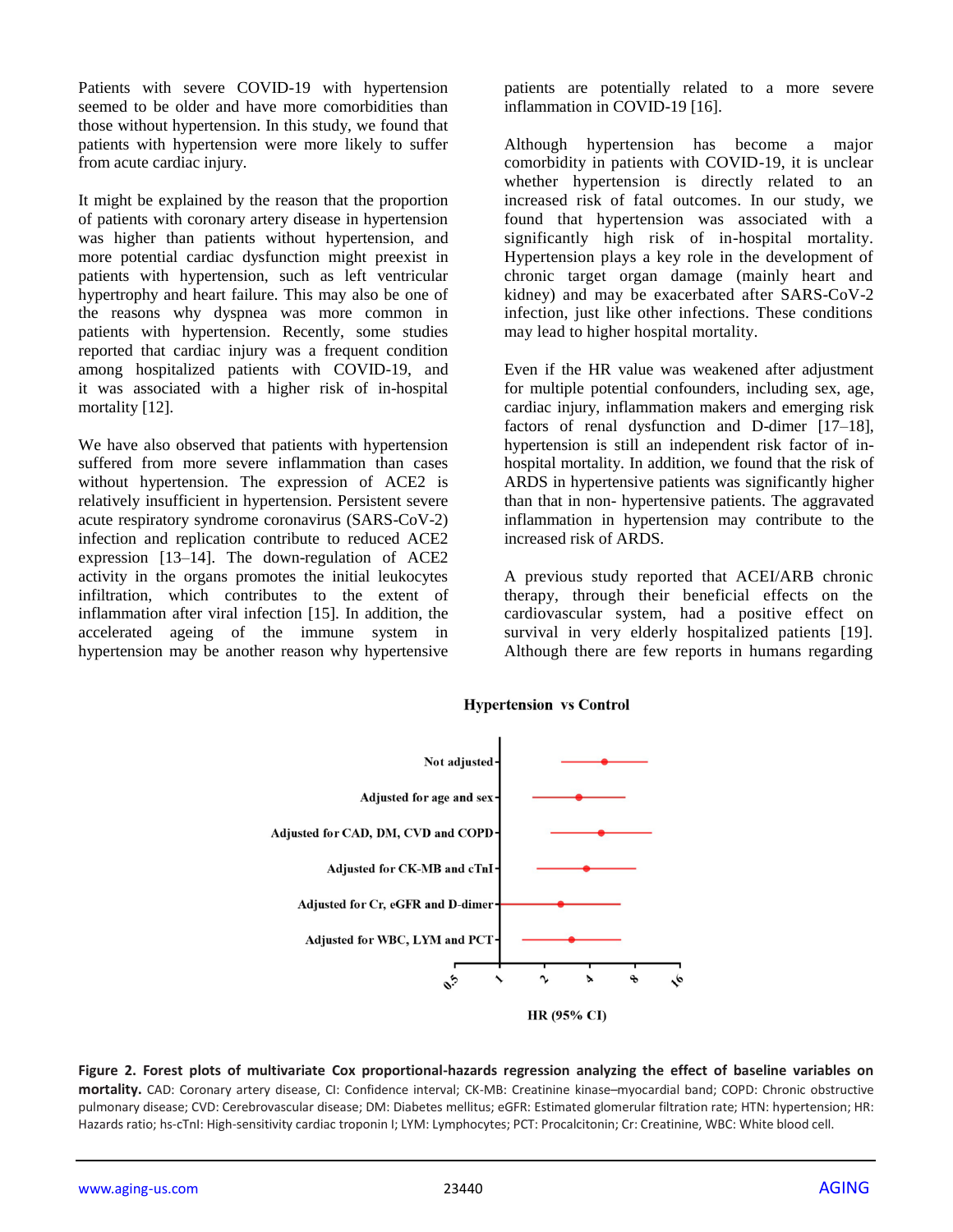Patients with severe COVID-19 with hypertension seemed to be older and have more comorbidities than those without hypertension. In this study, we found that patients with hypertension were more likely to suffer from acute cardiac injury.

It might be explained by the reason that the proportion of patients with coronary artery disease in hypertension was higher than patients without hypertension, and more potential cardiac dysfunction might preexist in patients with hypertension, such as left ventricular hypertrophy and heart failure. This may also be one of the reasons why dyspnea was more common in patients with hypertension. Recently, some studies reported that cardiac injury was a frequent condition among hospitalized patients with COVID-19, and it was associated with a higher risk of in-hospital mortality [12].

We have also observed that patients with hypertension suffered from more severe inflammation than cases without hypertension. The expression of ACE2 is relatively insufficient in hypertension. Persistent severe acute respiratory syndrome coronavirus (SARS-CoV-2) infection and replication contribute to reduced ACE2 expression [13–14]. The down-regulation of ACE2 activity in the organs promotes the initial leukocytes infiltration, which contributes to the extent of inflammation after viral infection [15]. In addition, the accelerated ageing of the immune system in hypertension may be another reason why hypertensive

patients are potentially related to a more severe inflammation in COVID-19 [16].

Although hypertension has become a major comorbidity in patients with COVID-19, it is unclear whether hypertension is directly related to an increased risk of fatal outcomes. In our study, we found that hypertension was associated with a significantly high risk of in-hospital mortality. Hypertension plays a key role in the development of chronic target organ damage (mainly heart and kidney) and may be exacerbated after SARS-CoV-2 infection, just like other infections. These conditions may lead to higher hospital mortality.

Even if the HR value was weakened after adjustment for multiple potential confounders, including sex, age, cardiac injury, inflammation makers and emerging risk factors of renal dysfunction and D-dimer [17–18], hypertension is still an independent risk factor of inhospital mortality. In addition, we found that the risk of ARDS in hypertensive patients was significantly higher than that in non- hypertensive patients. The aggravated inflammation in hypertension may contribute to the increased risk of ARDS.

A previous study reported that ACEI/ARB chronic therapy, through their beneficial effects on the cardiovascular system, had a positive effect on survival in very elderly hospitalized patients [19]. Although there are few reports in humans regarding



**Hypertension vs Control** 

**Figure 2. Forest plots of multivariate Cox proportional-hazards regression analyzing the effect of baseline variables on mortality.** CAD: Coronary artery disease, CI: Confidence interval; CK-MB: Creatinine kinase–myocardial band; COPD: Chronic obstructive pulmonary disease; CVD: Cerebrovascular disease; DM: Diabetes mellitus; eGFR: Estimated glomerular filtration rate; HTN: hypertension; HR: Hazards ratio; hs-cTnI: High-sensitivity cardiac troponin I; LYM: Lymphocytes; PCT: Procalcitonin; Cr: Creatinine, WBC: White blood cell.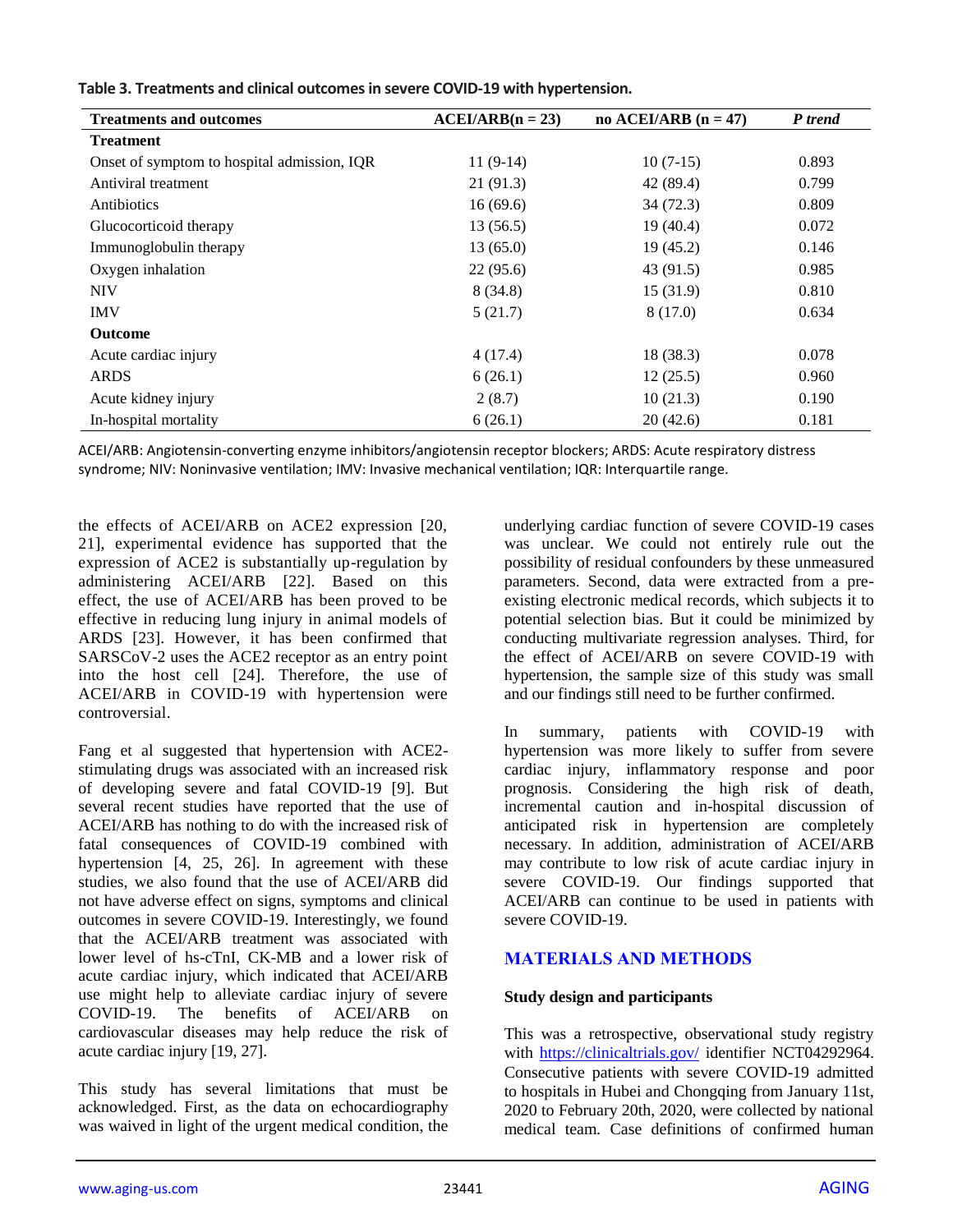| $ACEI/ARB(n = 23)$ | no ACEI/ARB $(n = 47)$ | P trend |
|--------------------|------------------------|---------|
|                    |                        |         |
| $11(9-14)$         | $10(7-15)$             | 0.893   |
| 21(91.3)           | 42 (89.4)              | 0.799   |
| 16(69.6)           | 34(72.3)               | 0.809   |
| 13(56.5)           | 19(40.4)               | 0.072   |
| 13(65.0)           | 19(45.2)               | 0.146   |
| 22(95.6)           | 43(91.5)               | 0.985   |
| 8(34.8)            | 15(31.9)               | 0.810   |
| 5(21.7)            | 8(17.0)                | 0.634   |
|                    |                        |         |
| 4(17.4)            | 18 (38.3)              | 0.078   |
| 6(26.1)            | 12(25.5)               | 0.960   |
| 2(8.7)             | 10(21.3)               | 0.190   |
| 6(26.1)            | 20(42.6)               | 0.181   |
|                    |                        |         |

**Table 3. Treatments and clinical outcomes in severe COVID-19 with hypertension.**

ACEI/ARB: Angiotensin-converting enzyme inhibitors/angiotensin receptor blockers; ARDS: Acute respiratory distress syndrome; NIV: Noninvasive ventilation; IMV: Invasive mechanical ventilation; IQR: Interquartile range.

the effects of ACEI/ARB on ACE2 expression [20, 21], experimental evidence has supported that the expression of ACE2 is substantially up-regulation by administering ACEI/ARB [22]. Based on this effect, the use of ACEI/ARB has been proved to be effective in reducing lung injury in animal models of ARDS [23]. However, it has been confirmed that SARSCoV-2 uses the ACE2 receptor as an entry point into the host cell [24]. Therefore, the use of ACEI/ARB in COVID-19 with hypertension were controversial.

Fang et al suggested that hypertension with ACE2 stimulating drugs was associated with an increased risk of developing severe and fatal COVID-19 [9]. But several recent studies have reported that the use of ACEI/ARB has nothing to do with the increased risk of fatal consequences of COVID-19 combined with hypertension [4, 25, 26]. In agreement with these studies, we also found that the use of ACEI/ARB did not have adverse effect on signs, symptoms and clinical outcomes in severe COVID-19. Interestingly, we found that the ACEI/ARB treatment was associated with lower level of hs-cTnI, CK-MB and a lower risk of acute cardiac injury, which indicated that ACEI/ARB use might help to alleviate cardiac injury of severe COVID-19. The benefits of ACEI/ARB on cardiovascular diseases may help reduce the risk of acute cardiac injury [19, 27].

This study has several limitations that must be acknowledged. First, as the data on echocardiography was waived in light of the urgent medical condition, the underlying cardiac function of severe COVID-19 cases was unclear. We could not entirely rule out the possibility of residual confounders by these unmeasured parameters. Second, data were extracted from a preexisting electronic medical records, which subjects it to potential selection bias. But it could be minimized by conducting multivariate regression analyses. Third, for the effect of ACEI/ARB on severe COVID-19 with hypertension, the sample size of this study was small and our findings still need to be further confirmed.

In summary, patients with COVID-19 with hypertension was more likely to suffer from severe cardiac injury, inflammatory response and poor prognosis. Considering the high risk of death, incremental caution and in-hospital discussion of anticipated risk in hypertension are completely necessary. In addition, administration of ACEI/ARB may contribute to low risk of acute cardiac injury in severe COVID-19. Our findings supported that ACEI/ARB can continue to be used in patients with severe COVID-19.

## **MATERIALS AND METHODS**

## **Study design and participants**

This was a retrospective, observational study registry with<https://clinicaltrials.gov/> identifier NCT04292964. Consecutive patients with severe COVID-19 admitted to hospitals in Hubei and Chongqing from January 11st, 2020 to February 20th, 2020, were collected by national medical team. Case definitions of confirmed human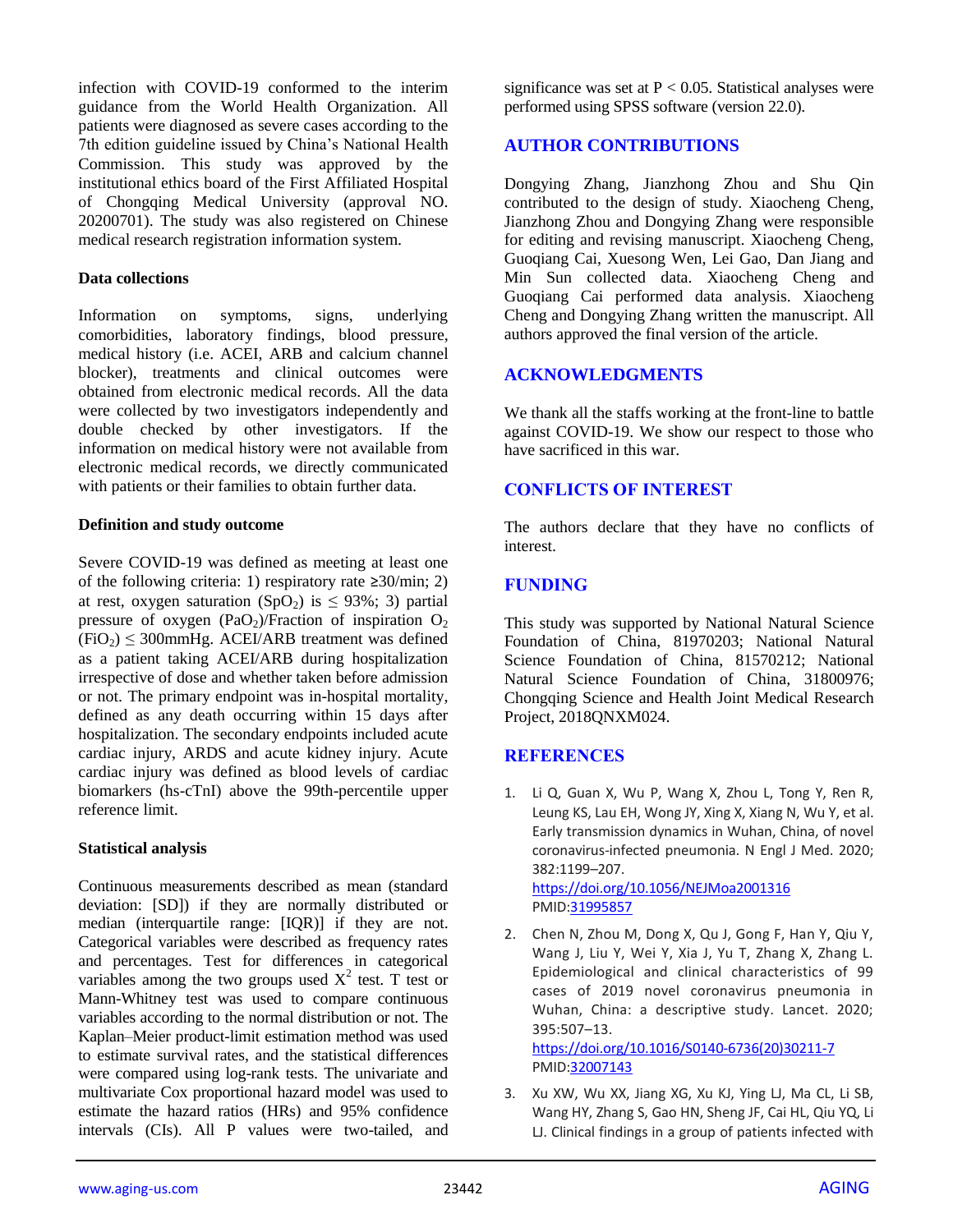infection with COVID-19 conformed to the interim guidance from the World Health Organization. All patients were diagnosed as severe cases according to the 7th edition guideline issued by China's National Health Commission. This study was approved by the institutional ethics board of the First Affiliated Hospital of Chongqing Medical University (approval NO. 20200701). The study was also registered on Chinese medical research registration information system.

#### **Data collections**

Information on symptoms, signs, underlying comorbidities, laboratory findings, blood pressure, medical history (i.e. ACEI, ARB and calcium channel blocker), treatments and clinical outcomes were obtained from electronic medical records. All the data were collected by two investigators independently and double checked by other investigators. If the information on medical history were not available from electronic medical records, we directly communicated with patients or their families to obtain further data.

#### **Definition and study outcome**

Severe COVID-19 was defined as meeting at least one of the following criteria: 1) respiratory rate ≥30/min; 2) at rest, oxygen saturation (SpO<sub>2</sub>) is  $\leq$  93%; 3) partial pressure of oxygen  $(PaO<sub>2</sub>)/Fraction$  of inspiration  $O<sub>2</sub>$  $(FiO<sub>2</sub>) \leq 300$ mmHg. ACEI/ARB treatment was defined as a patient taking ACEI/ARB during hospitalization irrespective of dose and whether taken before admission or not. The primary endpoint was in-hospital mortality, defined as any death occurring within 15 days after hospitalization. The secondary endpoints included acute cardiac injury, ARDS and acute kidney injury. Acute cardiac injury was defined as blood levels of cardiac biomarkers (hs-cTnI) above the 99th-percentile upper reference limit.

#### **Statistical analysis**

Continuous measurements described as mean (standard deviation: [SD]) if they are normally distributed or median (interquartile range: [IQR)] if they are not. Categorical variables were described as frequency rates and percentages. Test for differences in categorical variables among the two groups used  $X^2$  test. T test or Mann-Whitney test was used to compare continuous variables according to the normal distribution or not. The Kaplan–Meier product-limit estimation method was used to estimate survival rates, and the statistical differences were compared using log-rank tests. The univariate and multivariate Cox proportional hazard model was used to estimate the hazard ratios (HRs) and 95% confidence intervals (CIs). All P values were two-tailed, and

significance was set at  $P < 0.05$ . Statistical analyses were performed using SPSS software (version 22.0).

## **AUTHOR CONTRIBUTIONS**

Dongying Zhang, Jianzhong Zhou and Shu Qin contributed to the design of study. Xiaocheng Cheng, Jianzhong Zhou and Dongying Zhang were responsible for editing and revising manuscript. Xiaocheng Cheng, Guoqiang Cai, Xuesong Wen, Lei Gao, Dan Jiang and Min Sun collected data. Xiaocheng Cheng and Guoqiang Cai performed data analysis. Xiaocheng Cheng and Dongying Zhang written the manuscript. All authors approved the final version of the article.

## **ACKNOWLEDGMENTS**

We thank all the staffs working at the front-line to battle against COVID-19. We show our respect to those who have sacrificed in this war.

## **CONFLICTS OF INTEREST**

The authors declare that they have no conflicts of interest.

## **FUNDING**

This study was supported by National Natural Science Foundation of China, 81970203; National Natural Science Foundation of China, 81570212; National Natural Science Foundation of China, 31800976; Chongqing Science and Health Joint Medical Research Project, 2018QNXM024.

## **REFERENCES**

- 1. Li Q, Guan X, Wu P, Wang X, Zhou L, Tong Y, Ren R, Leung KS, Lau EH, Wong JY, Xing X, Xiang N, Wu Y, et al. Early transmission dynamics in Wuhan, China, of novel coronavirus-infected pneumonia. N Engl J Med. 2020; 382:1199–207. <https://doi.org/10.1056/NEJMoa2001316> PMI[D:31995857](https://pubmed.ncbi.nlm.nih.gov/31995857)
- 2. Chen N, Zhou M, Dong X, Qu J, Gong F, Han Y, Qiu Y, Wang J, Liu Y, Wei Y, Xia J, Yu T, Zhang X, Zhang L. Epidemiological and clinical characteristics of 99 cases of 2019 novel coronavirus pneumonia in Wuhan, China: a descriptive study. Lancet. 2020; 395:507–13.

[https://doi.org/10.1016/S0140-6736\(20\)30211-7](https://doi.org/10.1016/S0140-6736(20)30211-7) PMI[D:32007143](https://pubmed.ncbi.nlm.nih.gov/32007143)

3. Xu XW, Wu XX, Jiang XG, Xu KJ, Ying LJ, Ma CL, Li SB, Wang HY, Zhang S, Gao HN, Sheng JF, Cai HL, Qiu YQ, Li LJ. Clinical findings in a group of patients infected with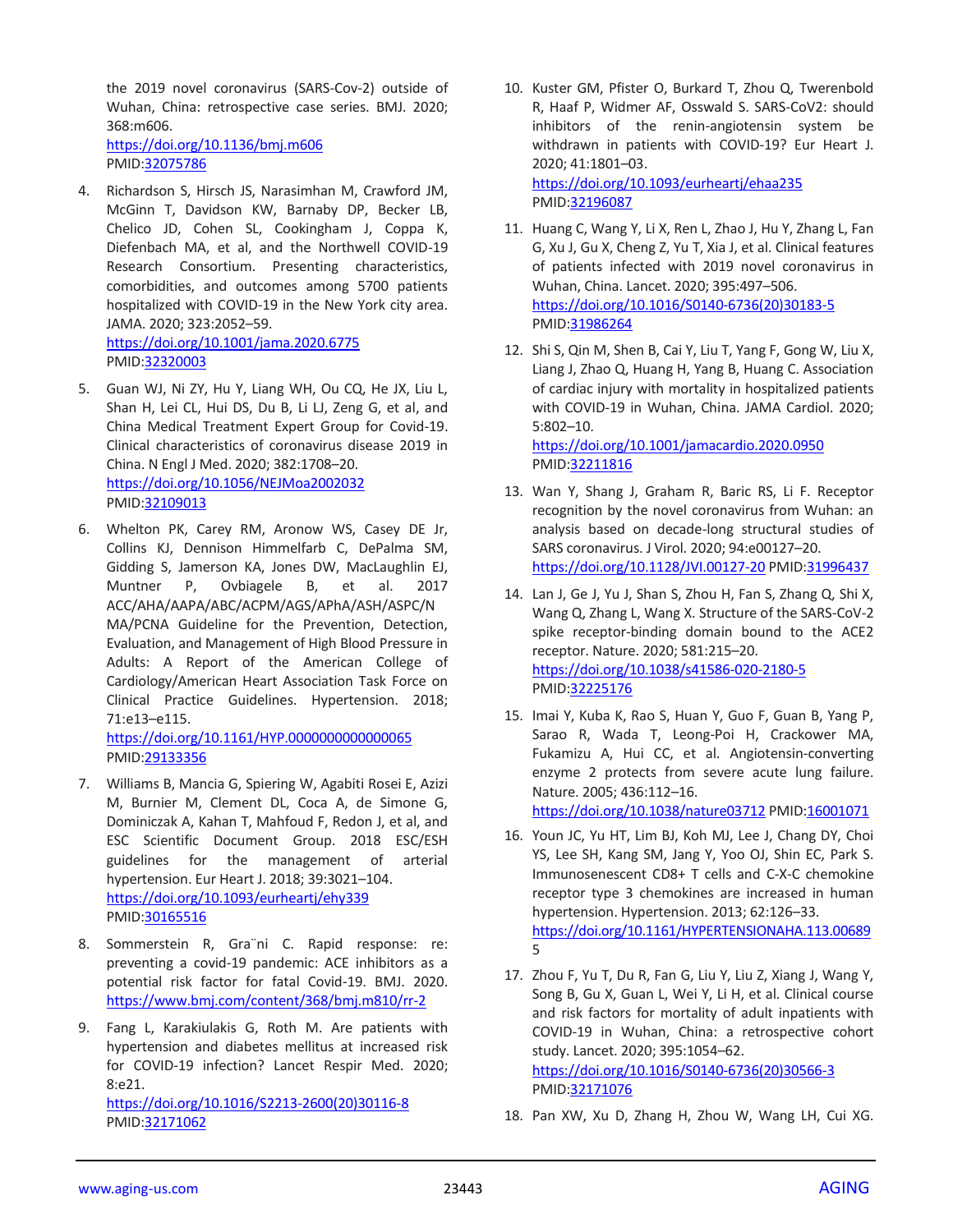the 2019 novel coronavirus (SARS-Cov-2) outside of Wuhan, China: retrospective case series. BMJ. 2020; 368:m606. <https://doi.org/10.1136/bmj.m606>

PMID[:32075786](https://pubmed.ncbi.nlm.nih.gov/32075786)

- 4. Richardson S, Hirsch JS, Narasimhan M, Crawford JM, McGinn T, Davidson KW, Barnaby DP, Becker LB, Chelico JD, Cohen SL, Cookingham J, Coppa K, Diefenbach MA, et al, and the Northwell COVID-19 Research Consortium. Presenting characteristics, comorbidities, and outcomes among 5700 patients hospitalized with COVID-19 in the New York city area. JAMA. 2020; 323:2052–59. <https://doi.org/10.1001/jama.2020.6775> PMID[:32320003](https://pubmed.ncbi.nlm.nih.gov/32320003)
- 5. Guan WJ, Ni ZY, Hu Y, Liang WH, Ou CQ, He JX, Liu L, Shan H, Lei CL, Hui DS, Du B, Li LJ, Zeng G, et al, and China Medical Treatment Expert Group for Covid-19. Clinical characteristics of coronavirus disease 2019 in China. N Engl J Med. 2020; 382:1708–20. <https://doi.org/10.1056/NEJMoa2002032> PMID[:32109013](https://pubmed.ncbi.nlm.nih.gov/32109013)
- 6. Whelton PK, Carey RM, Aronow WS, Casey DE Jr, Collins KJ, Dennison Himmelfarb C, DePalma SM, Gidding S, Jamerson KA, Jones DW, MacLaughlin EJ, Muntner P, Ovbiagele B, et al. 2017 ACC/AHA/AAPA/ABC/ACPM/AGS/APhA/ASH/ASPC/N MA/PCNA Guideline for the Prevention, Detection, Evaluation, and Management of High Blood Pressure in Adults: A Report of the American College of Cardiology/American Heart Association Task Force on Clinical Practice Guidelines. Hypertension. 2018; 71:e13–e115.

<https://doi.org/10.1161/HYP.0000000000000065> PMID[:29133356](https://pubmed.ncbi.nlm.nih.gov/29133356)

- 7. Williams B, Mancia G, Spiering W, Agabiti Rosei E, Azizi M, Burnier M, Clement DL, Coca A, de Simone G, Dominiczak A, Kahan T, Mahfoud F, Redon J, et al, and ESC Scientific Document Group. 2018 ESC/ESH guidelines for the management of arterial hypertension. Eur Heart J. 2018; 39:3021–104. <https://doi.org/10.1093/eurheartj/ehy339> PMID[:30165516](https://pubmed.ncbi.nlm.nih.gov/30165516)
- 8. Sommerstein R, Gra¨ni C. Rapid response: re: preventing a covid-19 pandemic: ACE inhibitors as a potential risk factor for fatal Covid-19. BMJ. 2020. <https://www.bmj.com/content/368/bmj.m810/rr-2>
- 9. Fang L, Karakiulakis G, Roth M. Are patients with hypertension and diabetes mellitus at increased risk for COVID-19 infection? Lancet Respir Med. 2020; 8:e21. [https://doi.org/10.1016/S2213-2600\(20\)30116-8](https://doi.org/10.1016/S2213-2600(20)30116-8) PMID[:32171062](https://pubmed.ncbi.nlm.nih.gov/32171062)
- 10. Kuster GM, Pfister O, Burkard T, Zhou Q, Twerenbold R, Haaf P, Widmer AF, Osswald S. SARS-CoV2: should inhibitors of the renin-angiotensin system be withdrawn in patients with COVID-19? Eur Heart J. 2020; 41:1801–03. <https://doi.org/10.1093/eurheartj/ehaa235> PMI[D:32196087](https://pubmed.ncbi.nlm.nih.gov/32196087)
- 11. Huang C, Wang Y, Li X, Ren L, Zhao J, Hu Y, Zhang L, Fan G, Xu J, Gu X, Cheng Z, Yu T, Xia J, et al. Clinical features of patients infected with 2019 novel coronavirus in Wuhan, China. Lancet. 2020; 395:497–506. [https://doi.org/10.1016/S0140-6736\(20\)30183-5](https://doi.org/10.1016/S0140-6736(20)30183-5) PMI[D:31986264](https://pubmed.ncbi.nlm.nih.gov/31986264)
- 12. Shi S, Qin M, Shen B, Cai Y, Liu T, Yang F, Gong W, Liu X, Liang J, Zhao Q, Huang H, Yang B, Huang C. Association of cardiac injury with mortality in hospitalized patients with COVID-19 in Wuhan, China. JAMA Cardiol. 2020; 5:802–10.

<https://doi.org/10.1001/jamacardio.2020.0950> PMI[D:32211816](https://pubmed.ncbi.nlm.nih.gov/32211816)

- 13. Wan Y, Shang J, Graham R, Baric RS, Li F. Receptor recognition by the novel coronavirus from Wuhan: an analysis based on decade-long structural studies of SARS coronavirus. J Virol. 2020; 94:e00127–20. <https://doi.org/10.1128/JVI.00127-20> PMI[D:31996437](https://pubmed.ncbi.nlm.nih.gov/31996437)
- 14. Lan J, Ge J, Yu J, Shan S, Zhou H, Fan S, Zhang Q, Shi X, Wang Q, Zhang L, Wang X. Structure of the SARS-CoV-2 spike receptor-binding domain bound to the ACE2 receptor. Nature. 2020; 581:215–20. <https://doi.org/10.1038/s41586-020-2180-5> PMI[D:32225176](https://pubmed.ncbi.nlm.nih.gov/32225176)
- 15. Imai Y, Kuba K, Rao S, Huan Y, Guo F, Guan B, Yang P, Sarao R, Wada T, Leong-Poi H, Crackower MA, Fukamizu A, Hui CC, et al. Angiotensin-converting enzyme 2 protects from severe acute lung failure. Nature. 2005; 436:112–16.

<https://doi.org/10.1038/nature03712> PMI[D:16001071](https://pubmed.ncbi.nlm.nih.gov/16001071)

- 16. Youn JC, Yu HT, Lim BJ, Koh MJ, Lee J, Chang DY, Choi YS, Lee SH, Kang SM, Jang Y, Yoo OJ, Shin EC, Park S. Immunosenescent CD8+ T cells and C-X-C chemokine receptor type 3 chemokines are increased in human hypertension. Hypertension. 2013; 62:126–33. <https://doi.org/10.1161/HYPERTENSIONAHA.113.00689> 5
- 17. Zhou F, Yu T, Du R, Fan G, Liu Y, Liu Z, Xiang J, Wang Y, Song B, Gu X, Guan L, Wei Y, Li H, et al. Clinical course and risk factors for mortality of adult inpatients with COVID-19 in Wuhan, China: a retrospective cohort study. Lancet. 2020; 395:1054–62. [https://doi.org/10.1016/S0140-6736\(20\)30566-3](https://doi.org/10.1016/S0140-6736(20)30566-3) PMI[D:32171076](https://pubmed.ncbi.nlm.nih.gov/32171076)
- 18. Pan XW, Xu D, Zhang H, Zhou W, Wang LH, Cui XG.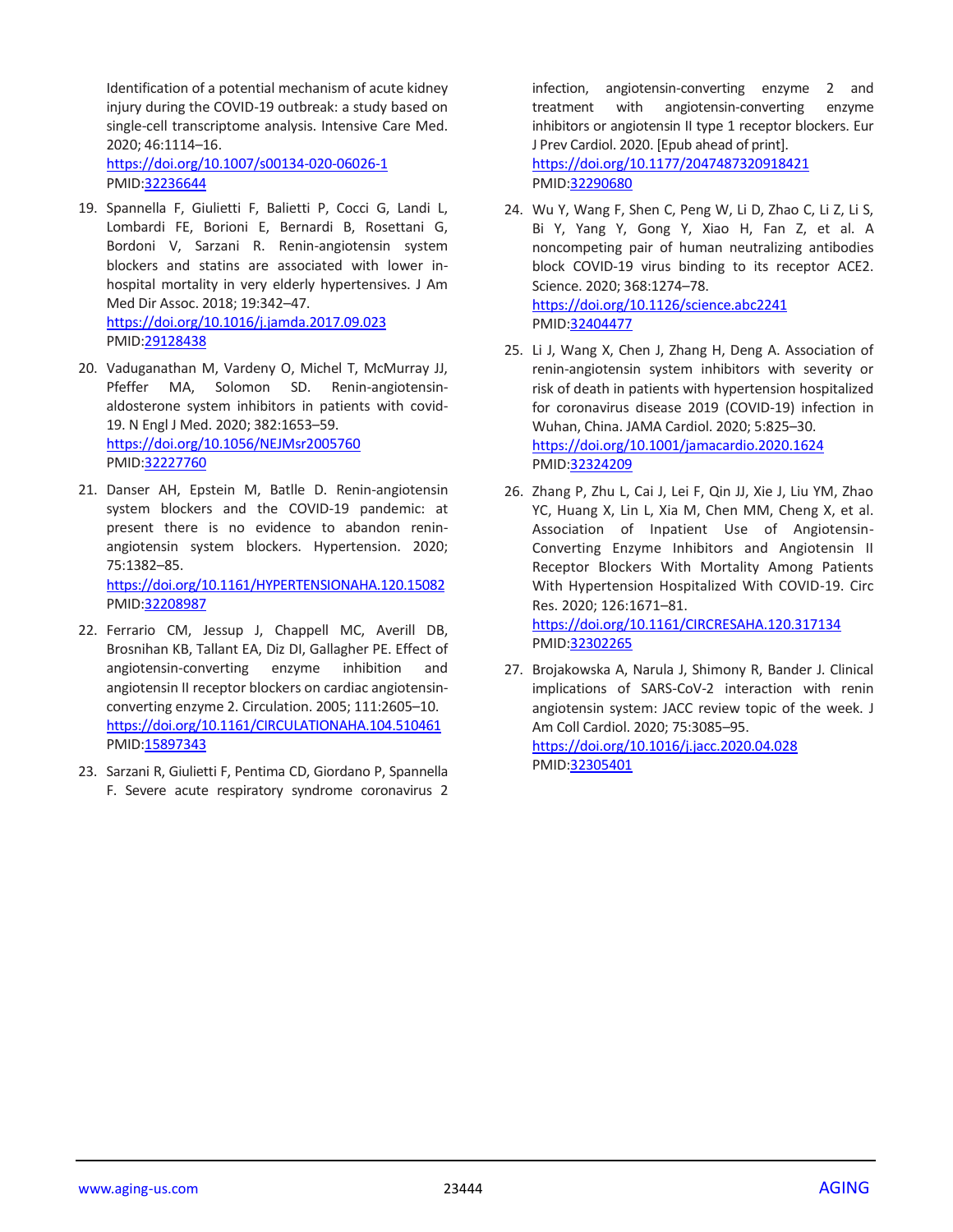Identification of a potential mechanism of acute kidney injury during the COVID-19 outbreak: a study based on single-cell transcriptome analysis. Intensive Care Med. 2020; 46:1114–16.

<https://doi.org/10.1007/s00134-020-06026-1> PMID[:32236644](https://pubmed.ncbi.nlm.nih.gov/32236644)

- 19. Spannella F, Giulietti F, Balietti P, Cocci G, Landi L, Lombardi FE, Borioni E, Bernardi B, Rosettani G, Bordoni V, Sarzani R. Renin-angiotensin system blockers and statins are associated with lower inhospital mortality in very elderly hypertensives. J Am Med Dir Assoc. 2018; 19:342–47. <https://doi.org/10.1016/j.jamda.2017.09.023> PMID[:29128438](https://pubmed.ncbi.nlm.nih.gov/29128438)
- 20. Vaduganathan M, Vardeny O, Michel T, McMurray JJ, Pfeffer MA, Solomon SD. Renin-angiotensinaldosterone system inhibitors in patients with covid-19. N Engl J Med. 2020; 382:1653–59. <https://doi.org/10.1056/NEJMsr2005760> PMID[:32227760](https://pubmed.ncbi.nlm.nih.gov/32227760)
- 21. Danser AH, Epstein M, Batlle D. Renin-angiotensin system blockers and the COVID-19 pandemic: at present there is no evidence to abandon reninangiotensin system blockers. Hypertension. 2020; 75:1382–85.

<https://doi.org/10.1161/HYPERTENSIONAHA.120.15082> PMID[:32208987](https://pubmed.ncbi.nlm.nih.gov/32208987)

- 22. Ferrario CM, Jessup J, Chappell MC, Averill DB, Brosnihan KB, Tallant EA, Diz DI, Gallagher PE. Effect of angiotensin-converting enzyme inhibition and angiotensin II receptor blockers on cardiac angiotensinconverting enzyme 2. Circulation. 2005; 111:2605–10. <https://doi.org/10.1161/CIRCULATIONAHA.104.510461> PMID: 15897343
- 23. Sarzani R, Giulietti F, Pentima CD, Giordano P, Spannella F. Severe acute respiratory syndrome coronavirus 2

infection, angiotensin-converting enzyme 2 and treatment with angiotensin-converting enzyme inhibitors or angiotensin II type 1 receptor blockers. Eur J Prev Cardiol. 2020. [Epub ahead of print]. <https://doi.org/10.1177/2047487320918421>

PMI[D:32290680](https://pubmed.ncbi.nlm.nih.gov/32290680)

- 24. Wu Y, Wang F, Shen C, Peng W, Li D, Zhao C, Li Z, Li S, Bi Y, Yang Y, Gong Y, Xiao H, Fan Z, et al. A noncompeting pair of human neutralizing antibodies block COVID-19 virus binding to its receptor ACE2. Science. 2020; 368:1274–78. <https://doi.org/10.1126/science.abc2241> PMI[D:32404477](https://pubmed.ncbi.nlm.nih.gov/32404477)
- 25. Li J, Wang X, Chen J, Zhang H, Deng A. Association of renin-angiotensin system inhibitors with severity or risk of death in patients with hypertension hospitalized for coronavirus disease 2019 (COVID-19) infection in Wuhan, China. JAMA Cardiol. 2020; 5:825–30. <https://doi.org/10.1001/jamacardio.2020.1624> PMI[D:32324209](https://pubmed.ncbi.nlm.nih.gov/32324209)
- 26. Zhang P, Zhu L, Cai J, Lei F, Qin JJ, Xie J, Liu YM, Zhao YC, Huang X, Lin L, Xia M, Chen MM, Cheng X, et al. Association of Inpatient Use of Angiotensin-Converting Enzyme Inhibitors and Angiotensin II Receptor Blockers With Mortality Among Patients With Hypertension Hospitalized With COVID-19. Circ Res. 2020; 126:1671–81. <https://doi.org/10.1161/CIRCRESAHA.120.317134>

PMI[D:32302265](https://pubmed.ncbi.nlm.nih.gov/32302265)

27. Brojakowska A, Narula J, Shimony R, Bander J. Clinical implications of SARS-CoV-2 interaction with renin angiotensin system: JACC review topic of the week. J Am Coll Cardiol. 2020; 75:3085–95. <https://doi.org/10.1016/j.jacc.2020.04.028> PMI[D:32305401](https://pubmed.ncbi.nlm.nih.gov/32305401)

www.aging-us.com 23444 AGING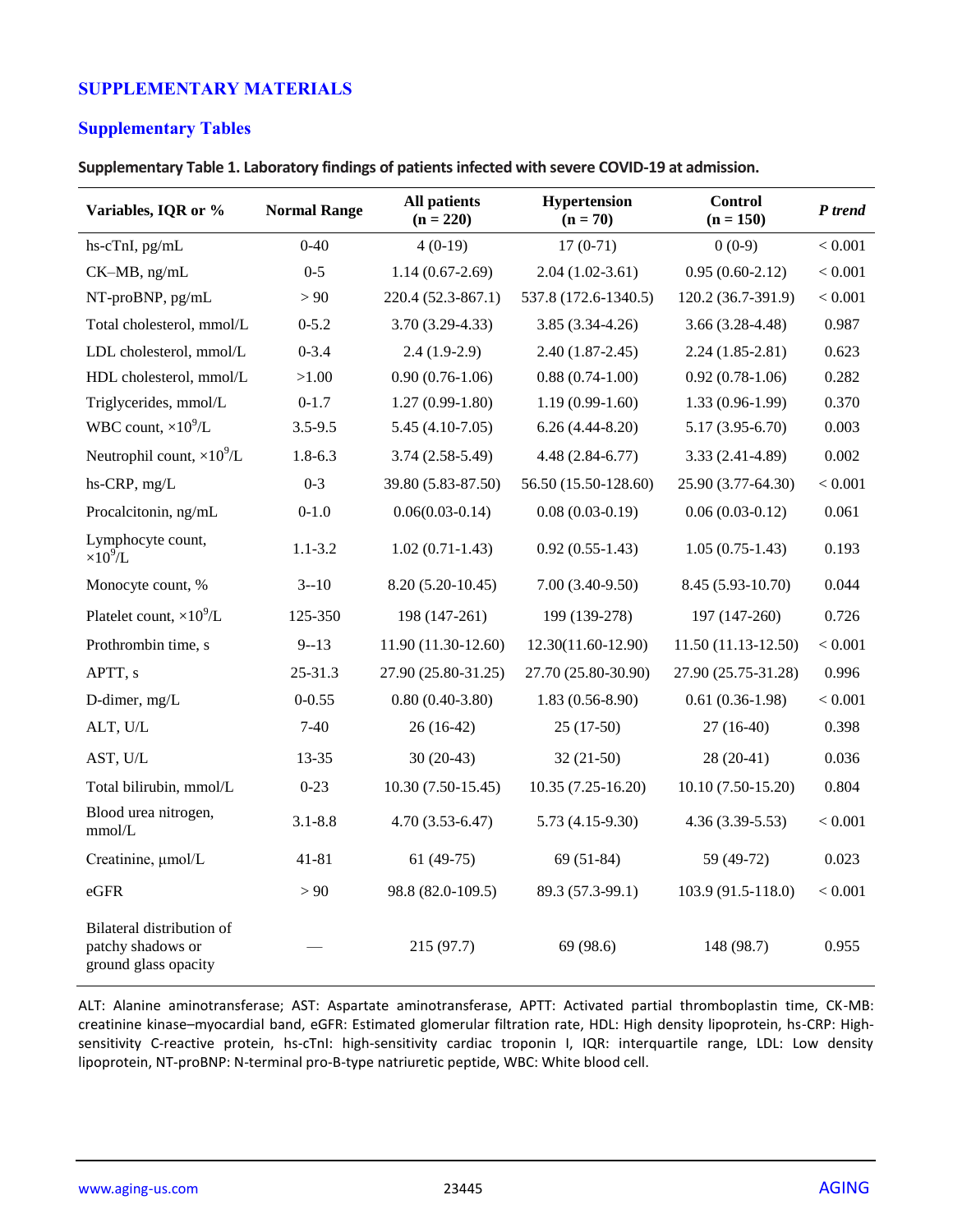## **SUPPLEMENTARY MATERIALS**

## **Supplementary Tables**

**Supplementary Table 1. Laboratory findings of patients infected with severe COVID-19 at admission.**

| Variables, IQR or %                                                    | <b>Normal Range</b> | <b>All patients</b><br>$(n = 220)$ | <b>Hypertension</b><br>$(n = 70)$ | Control<br>$(n = 150)$ | P trend |
|------------------------------------------------------------------------|---------------------|------------------------------------|-----------------------------------|------------------------|---------|
| hs-cTnI, pg/mL                                                         | $0 - 40$            | $4(0-19)$                          | $17(0-71)$                        | $0(0-9)$               | < 0.001 |
| CK-MB, ng/mL                                                           | $0 - 5$             | $1.14(0.67-2.69)$                  | $2.04(1.02-3.61)$                 | $0.95(0.60-2.12)$      | < 0.001 |
| NT-proBNP, pg/mL                                                       | > 90                | 220.4 (52.3-867.1)                 | 537.8 (172.6-1340.5)              | 120.2 (36.7-391.9)     | < 0.001 |
| Total cholesterol, mmol/L                                              | $0 - 5.2$           | $3.70(3.29-4.33)$                  | $3.85(3.34-4.26)$                 | $3.66(3.28-4.48)$      | 0.987   |
| LDL cholesterol, mmol/L                                                | $0 - 3.4$           | $2.4(1.9-2.9)$                     | $2.40(1.87-2.45)$                 | $2.24(1.85-2.81)$      | 0.623   |
| HDL cholesterol, mmol/L                                                | >1.00               | $0.90(0.76-1.06)$                  | $0.88(0.74-1.00)$                 | $0.92(0.78-1.06)$      | 0.282   |
| Triglycerides, mmol/L                                                  | $0 - 1.7$           | $1.27(0.99-1.80)$                  | $1.19(0.99-1.60)$                 | $1.33(0.96-1.99)$      | 0.370   |
| WBC count, $\times 10^9$ /L                                            | $3.5 - 9.5$         | $5.45(4.10-7.05)$                  | $6.26(4.44-8.20)$                 | $5.17(3.95 - 6.70)$    | 0.003   |
| Neutrophil count, $\times 10^9$ /L                                     | $1.8 - 6.3$         | $3.74(2.58-5.49)$                  | $4.48(2.84-6.77)$                 | $3.33(2.41-4.89)$      | 0.002   |
| hs-CRP, mg/L                                                           | $0 - 3$             | 39.80 (5.83-87.50)                 | 56.50 (15.50-128.60)              | 25.90 (3.77-64.30)     | < 0.001 |
| Procalcitonin, ng/mL                                                   | $0 - 1.0$           | $0.06(0.03-0.14)$                  | $0.08(0.03-0.19)$                 | $0.06(0.03-0.12)$      | 0.061   |
| Lymphocyte count,<br>$\times 10^9$ /L                                  | $1.1 - 3.2$         | $1.02(0.71-1.43)$                  | $0.92(0.55-1.43)$                 | $1.05(0.75-1.43)$      | 0.193   |
| Monocyte count, %                                                      | $3 - 10$            | $8.20(5.20-10.45)$                 | $7.00(3.40-9.50)$                 | 8.45 (5.93-10.70)      | 0.044   |
| Platelet count, $\times 10^9$ /L                                       | 125-350             | 198 (147-261)                      | 199 (139-278)                     | 197 (147-260)          | 0.726   |
| Prothrombin time, s                                                    | $9 - 13$            | 11.90 (11.30-12.60)                | 12.30(11.60-12.90)                | $11.50(11.13-12.50)$   | < 0.001 |
| APTT, s                                                                | $25 - 31.3$         | 27.90 (25.80-31.25)                | 27.70 (25.80-30.90)               | 27.90 (25.75-31.28)    | 0.996   |
| D-dimer, mg/L                                                          | $0 - 0.55$          | $0.80(0.40-3.80)$                  | $1.83(0.56-8.90)$                 | $0.61(0.36-1.98)$      | < 0.001 |
| ALT, U/L                                                               | $7-40$              | 26 (16-42)                         | $25(17-50)$                       | $27(16-40)$            | 0.398   |
| AST, U/L                                                               | 13-35               | $30(20-43)$                        | $32(21-50)$                       | 28 (20-41)             | 0.036   |
| Total bilirubin, mmol/L                                                | $0 - 23$            | $10.30(7.50-15.45)$                | $10.35(7.25-16.20)$               | 10.10 (7.50-15.20)     | 0.804   |
| Blood urea nitrogen,<br>mmol/L                                         | $3.1 - 8.8$         | $4.70(3.53 - 6.47)$                | $5.73(4.15-9.30)$                 | $4.36(3.39-5.53)$      | < 0.001 |
| Creatinine, µmol/L                                                     | $41 - 81$           | $61(49-75)$                        | $69(51-84)$                       | 59 (49-72)             | 0.023   |
| eGFR                                                                   | > 90                | 98.8 (82.0-109.5)                  | 89.3 (57.3-99.1)                  | 103.9 (91.5-118.0)     | < 0.001 |
| Bilateral distribution of<br>patchy shadows or<br>ground glass opacity |                     | 215 (97.7)                         | 69 (98.6)                         | 148 (98.7)             | 0.955   |

ALT: Alanine aminotransferase; AST: Aspartate aminotransferase, APTT: Activated partial thromboplastin time, CK-MB: creatinine kinase–myocardial band, eGFR: Estimated glomerular filtration rate, HDL: High density lipoprotein, hs-CRP: Highsensitivity C-reactive protein, hs-cTnI: high-sensitivity cardiac troponin I, IQR: interquartile range, LDL: Low density lipoprotein, NT-proBNP: N-terminal pro-B-type natriuretic peptide, WBC: White blood cell.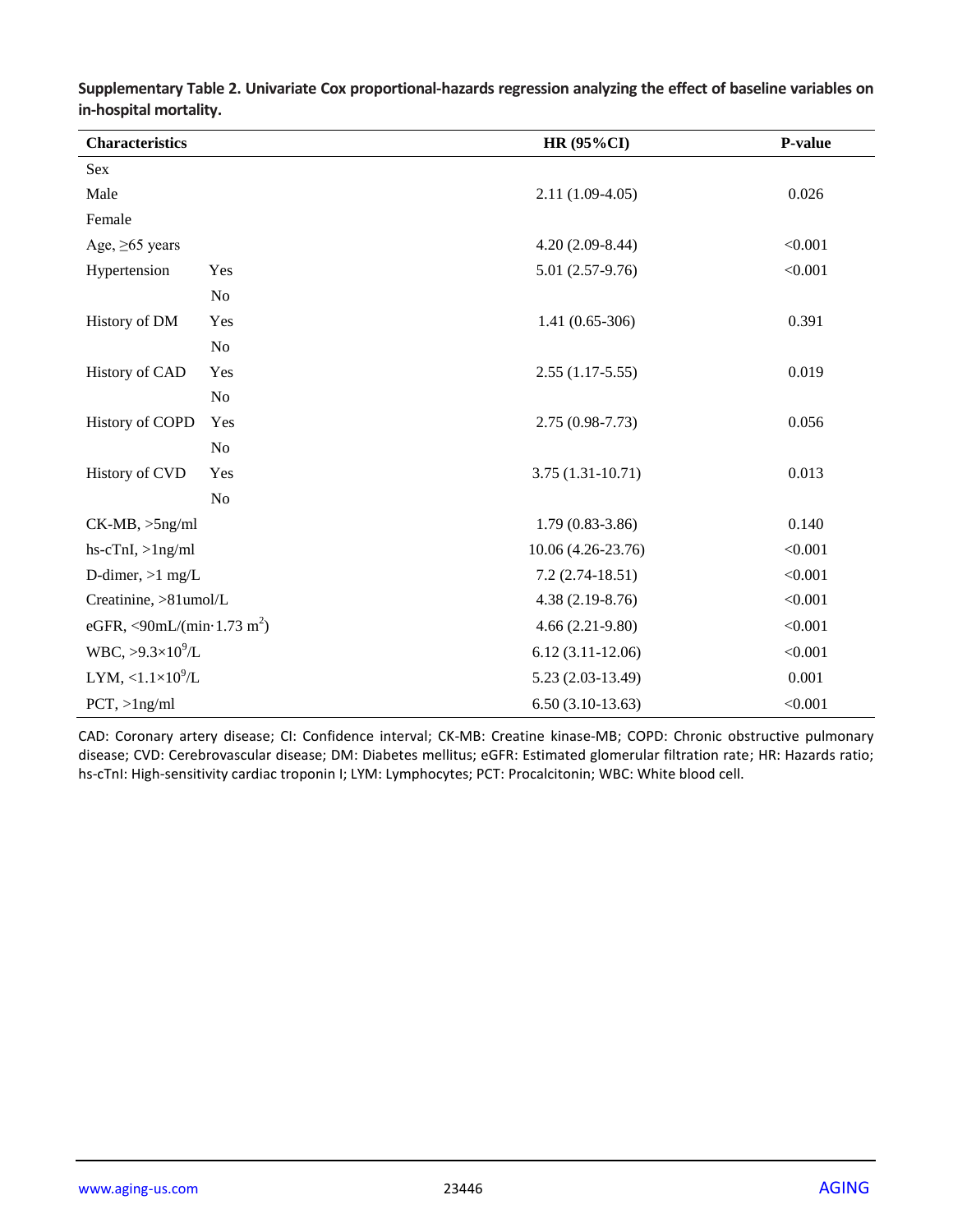| <b>Characteristics</b>                         |                | <b>HR (95%CI)</b>   | P-value |
|------------------------------------------------|----------------|---------------------|---------|
| Sex                                            |                |                     |         |
| Male                                           |                | $2.11(1.09-4.05)$   | 0.026   |
| Female                                         |                |                     |         |
| Age, $\geq 65$ years                           |                | $4.20(2.09-8.44)$   | < 0.001 |
| Hypertension                                   | Yes            | 5.01 (2.57-9.76)    | < 0.001 |
|                                                | N <sub>o</sub> |                     |         |
| History of DM                                  | Yes            | $1.41(0.65-306)$    | 0.391   |
|                                                | N <sub>o</sub> |                     |         |
| <b>History of CAD</b>                          | Yes            | $2.55(1.17-5.55)$   | 0.019   |
|                                                | N <sub>o</sub> |                     |         |
| <b>History of COPD</b>                         | Yes            | $2.75(0.98 - 7.73)$ | 0.056   |
|                                                | N <sub>o</sub> |                     |         |
| History of CVD                                 | Yes            | $3.75(1.31-10.71)$  | 0.013   |
|                                                | N <sub>o</sub> |                     |         |
| $CK-MB, >5ng/ml$                               |                | $1.79(0.83 - 3.86)$ | 0.140   |
| $hs-cTnI, >1ng/ml$                             |                | 10.06 (4.26-23.76)  | < 0.001 |
| D-dimer, $>1$ mg/L                             |                | $7.2(2.74-18.51)$   | < 0.001 |
| Creatinine, >81umol/L                          |                | $4.38(2.19-8.76)$   | < 0.001 |
| eGFR, <90mL/(min $\cdot$ 1.73 m <sup>2</sup> ) |                | $4.66(2.21-9.80)$   | < 0.001 |
| WBC, $>9.3\times10^{9}$ /L                     |                | $6.12(3.11-12.06)$  | < 0.001 |
| LYM, $\langle 1.1 \times 10^9/L$               |                | $5.23(2.03-13.49)$  | 0.001   |
| $PCT$ , >1ng/ml                                |                | $6.50(3.10-13.63)$  | < 0.001 |

**Supplementary Table 2. Univariate Cox proportional-hazards regression analyzing the effect of baseline variables on in-hospital mortality.**

CAD: Coronary artery disease; CI: Confidence interval; CK-MB: Creatine kinase-MB; COPD: Chronic obstructive pulmonary disease; CVD: Cerebrovascular disease; DM: Diabetes mellitus; eGFR: Estimated glomerular filtration rate; HR: Hazards ratio; hs-cTnI: High-sensitivity cardiac troponin I; LYM: Lymphocytes; PCT: Procalcitonin; WBC: White blood cell.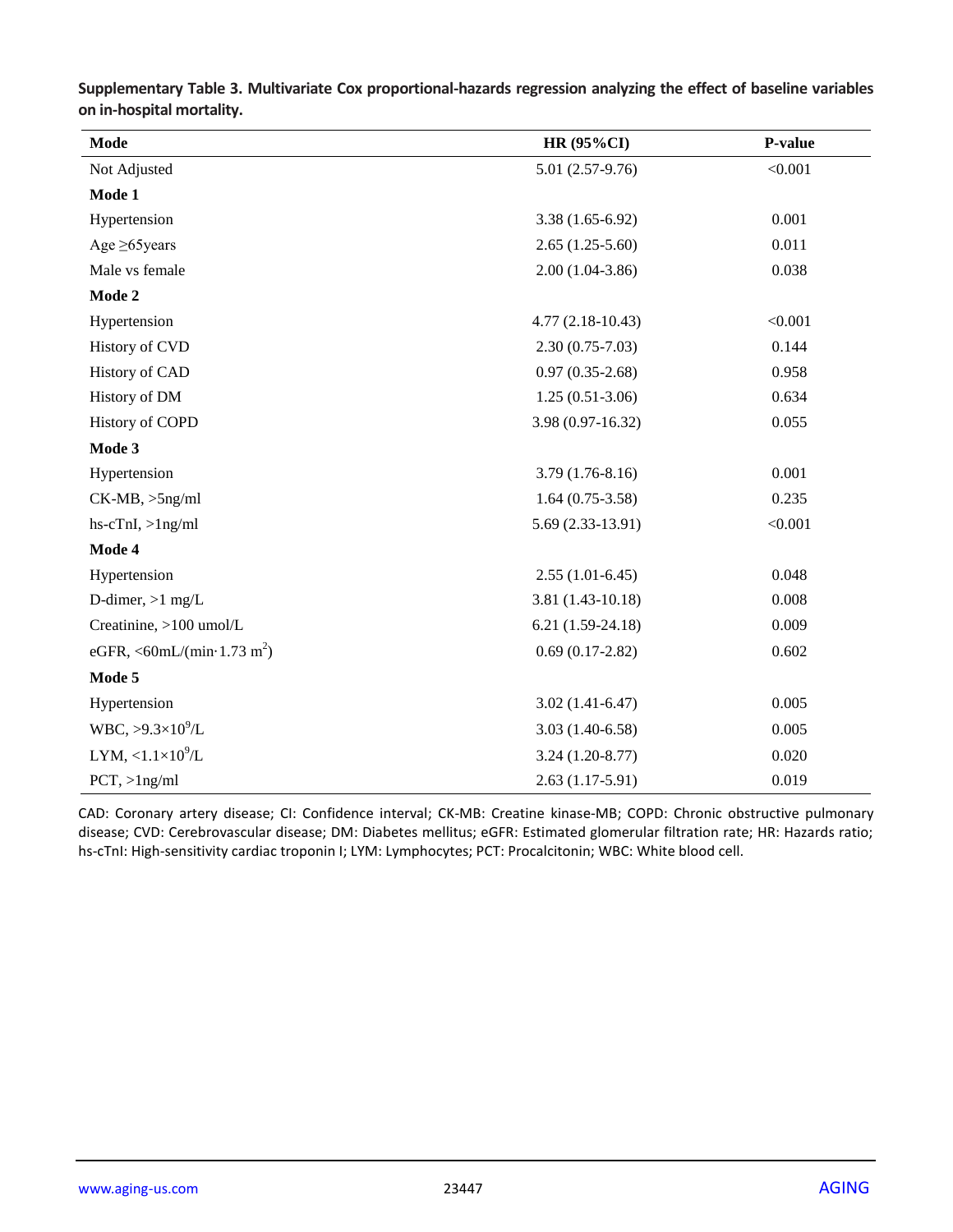| Mode                                           | <b>HR (95%CI)</b>   | P-value |
|------------------------------------------------|---------------------|---------|
| Not Adjusted                                   | $5.01(2.57-9.76)$   | < 0.001 |
| Mode 1                                         |                     |         |
| Hypertension                                   | $3.38(1.65-6.92)$   | 0.001   |
| Age $\geq 65$ years                            | $2.65(1.25-5.60)$   | 0.011   |
| Male vs female                                 | $2.00(1.04-3.86)$   | 0.038   |
| Mode 2                                         |                     |         |
| Hypertension                                   | $4.77(2.18-10.43)$  | < 0.001 |
| History of CVD                                 | $2.30(0.75 - 7.03)$ | 0.144   |
| History of CAD                                 | $0.97(0.35-2.68)$   | 0.958   |
| History of DM                                  | $1.25(0.51-3.06)$   | 0.634   |
| <b>History of COPD</b>                         | 3.98 (0.97-16.32)   | 0.055   |
| Mode 3                                         |                     |         |
| Hypertension                                   | $3.79(1.76-8.16)$   | 0.001   |
| $CK-MB, >5ng/ml$                               | $1.64(0.75-3.58)$   | 0.235   |
| $hs-cTnI, >1ng/ml$                             | 5.69 (2.33-13.91)   | < 0.001 |
| Mode 4                                         |                     |         |
| Hypertension                                   | $2.55(1.01-6.45)$   | 0.048   |
| D-dimer, $>1$ mg/L                             | $3.81(1.43-10.18)$  | 0.008   |
| Creatinine, >100 umol/L                        | $6.21(1.59-24.18)$  | 0.009   |
| eGFR, <60mL/(min $\cdot$ 1.73 m <sup>2</sup> ) | $0.69(0.17-2.82)$   | 0.602   |
| Mode 5                                         |                     |         |
| Hypertension                                   | $3.02(1.41-6.47)$   | 0.005   |
| $WBC, >9.3\times10^{9}/L$                      | $3.03(1.40-6.58)$   | 0.005   |
| LYM, $<1.1\times10^9/L$                        | $3.24(1.20-8.77)$   | 0.020   |
| $PCT$ , > $1$ ng/ml                            | $2.63(1.17-5.91)$   | 0.019   |

**Supplementary Table 3. Multivariate Cox proportional-hazards regression analyzing the effect of baseline variables on in-hospital mortality.**

CAD: Coronary artery disease; CI: Confidence interval; CK-MB: Creatine kinase-MB; COPD: Chronic obstructive pulmonary disease; CVD: Cerebrovascular disease; DM: Diabetes mellitus; eGFR: Estimated glomerular filtration rate; HR: Hazards ratio; hs-cTnI: High-sensitivity cardiac troponin I; LYM: Lymphocytes; PCT: Procalcitonin; WBC: White blood cell.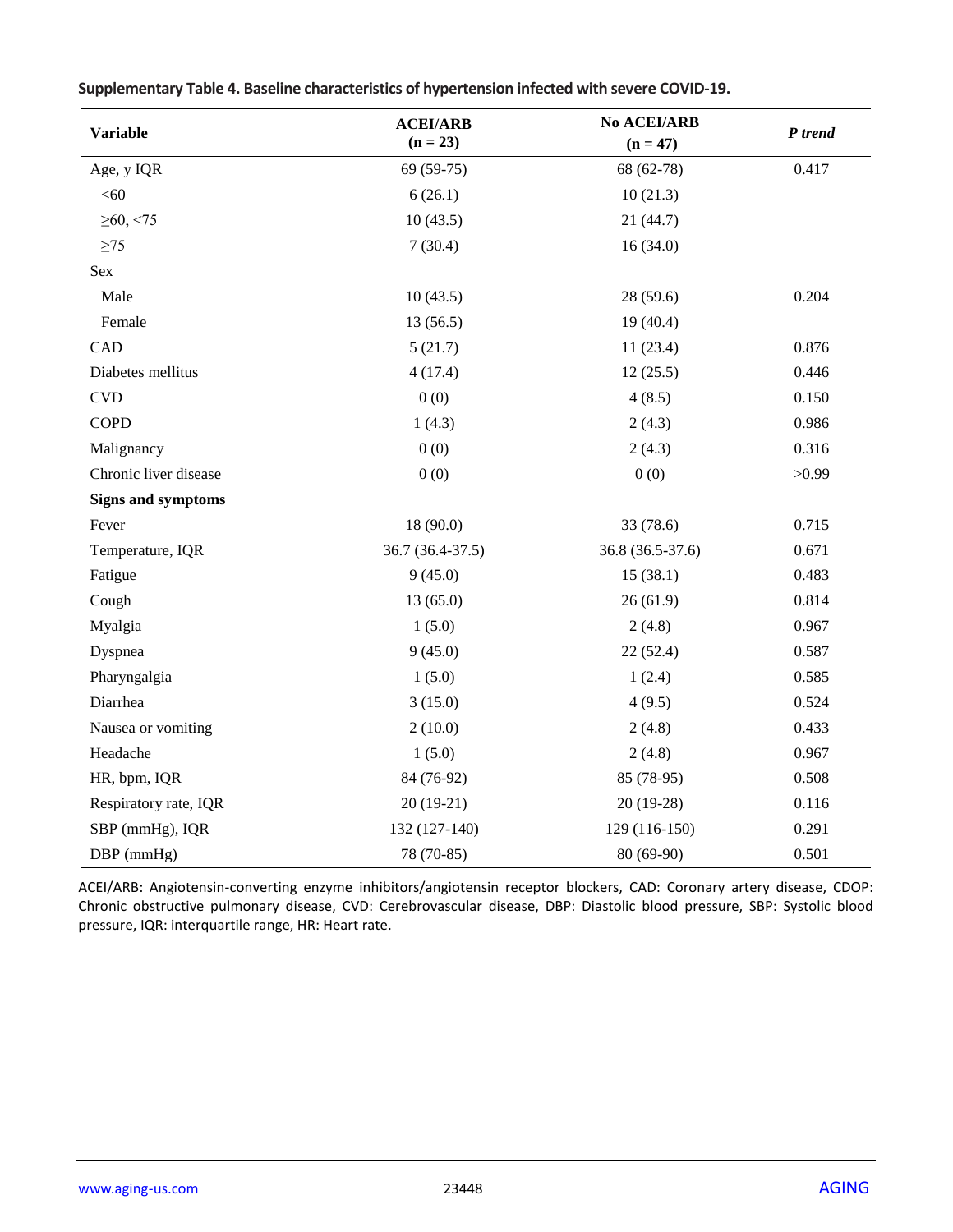| <b>Variable</b>           | <b>ACEI/ARB</b><br>$(n = 23)$ | <b>No ACEI/ARB</b><br>$(n = 47)$ | P trend |
|---------------------------|-------------------------------|----------------------------------|---------|
| Age, y IQR                | 69 (59-75)                    | 68 (62-78)                       | 0.417   |
| <60                       | 6(26.1)                       | 10(21.3)                         |         |
| $\geq 60, \leq 75$        | 10(43.5)                      | 21 (44.7)                        |         |
| $\geq$ 75                 | 7(30.4)                       | 16(34.0)                         |         |
| Sex                       |                               |                                  |         |
| Male                      | 10(43.5)                      | 28(59.6)                         | 0.204   |
| Female                    | 13(56.5)                      | 19(40.4)                         |         |
| CAD                       | 5(21.7)                       | 11(23.4)                         | 0.876   |
| Diabetes mellitus         | 4(17.4)                       | 12(25.5)                         | 0.446   |
| <b>CVD</b>                | 0(0)                          | 4(8.5)                           | 0.150   |
| <b>COPD</b>               | 1(4.3)                        | 2(4.3)                           | 0.986   |
| Malignancy                | 0(0)                          | 2(4.3)                           | 0.316   |
| Chronic liver disease     | 0(0)                          | 0(0)                             | >0.99   |
| <b>Signs and symptoms</b> |                               |                                  |         |
| Fever                     | 18 (90.0)                     | 33 (78.6)                        | 0.715   |
| Temperature, IQR          | 36.7 (36.4-37.5)              | 36.8 (36.5-37.6)                 | 0.671   |
| Fatigue                   | 9(45.0)                       | 15(38.1)                         | 0.483   |
| Cough                     | 13(65.0)                      | 26(61.9)                         | 0.814   |
| Myalgia                   | 1(5.0)                        | 2(4.8)                           | 0.967   |
| Dyspnea                   | 9(45.0)                       | 22(52.4)                         | 0.587   |
| Pharyngalgia              | 1(5.0)                        | 1(2.4)                           | 0.585   |
| Diarrhea                  | 3(15.0)                       | 4(9.5)                           | 0.524   |
| Nausea or vomiting        | 2(10.0)                       | 2(4.8)                           | 0.433   |
| Headache                  | 1(5.0)                        | 2(4.8)                           | 0.967   |
| HR, bpm, IQR              | 84 (76-92)                    | 85 (78-95)                       | 0.508   |
| Respiratory rate, IQR     | $20(19-21)$                   | 20 (19-28)                       | 0.116   |
| SBP (mmHg), IQR           | 132 (127-140)                 | 129 (116-150)                    | 0.291   |
| DBP (mmHg)                | 78 (70-85)                    | 80 (69-90)                       | 0.501   |

**Supplementary Table 4. Baseline characteristics of hypertension infected with severe COVID-19.**

ACEI/ARB: Angiotensin-converting enzyme inhibitors/angiotensin receptor blockers, CAD: Coronary artery disease, CDOP: Chronic obstructive pulmonary disease, CVD: Cerebrovascular disease, DBP: Diastolic blood pressure, SBP: Systolic blood pressure, IQR: interquartile range, HR: Heart rate.